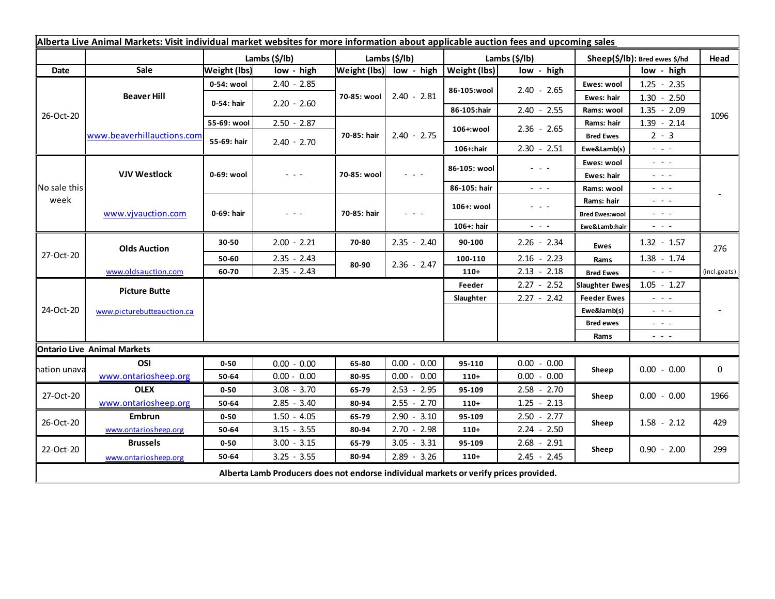| Alberta Live Animal Markets: Visit individual market websites for more information about applicable auction fees and upcoming sales |                            |                     |               |               |                                                                                                                           |                           |                      |                               |                                                                                                                                                                                                                                                                                                                                                                                                                                                |              |
|-------------------------------------------------------------------------------------------------------------------------------------|----------------------------|---------------------|---------------|---------------|---------------------------------------------------------------------------------------------------------------------------|---------------------------|----------------------|-------------------------------|------------------------------------------------------------------------------------------------------------------------------------------------------------------------------------------------------------------------------------------------------------------------------------------------------------------------------------------------------------------------------------------------------------------------------------------------|--------------|
|                                                                                                                                     |                            | Lambs (\$/lb)       |               | Lambs (\$/lb) |                                                                                                                           | Lambs $(\frac{2}{3})$ lb) |                      | Sheep(\$/lb): Bred ewes \$/hd |                                                                                                                                                                                                                                                                                                                                                                                                                                                | Head         |
| Date                                                                                                                                | Sale                       | <b>Weight (lbs)</b> | low - high    |               | Weight (lbs) low - high                                                                                                   | <b>Weight (lbs)</b>       | low - high           |                               | low - high                                                                                                                                                                                                                                                                                                                                                                                                                                     |              |
| 26-Oct-20                                                                                                                           | <b>Beaver Hill</b>         | 0-54: wool          | $2.40 - 2.85$ | 70-85: wool   | $2.40 - 2.81$                                                                                                             | 86-105:wool               | $2.40 - 2.65$        | Ewes: wool                    | $1.25 - 2.35$                                                                                                                                                                                                                                                                                                                                                                                                                                  | 1096         |
|                                                                                                                                     |                            | 0-54: hair          | $2.20 - 2.60$ |               |                                                                                                                           |                           |                      | Ewes: hair                    | $1.30 - 2.50$                                                                                                                                                                                                                                                                                                                                                                                                                                  |              |
|                                                                                                                                     |                            |                     |               |               |                                                                                                                           | 86-105:hair               | $2.40 - 2.55$        | Rams: wool                    | $1.35 - 2.09$                                                                                                                                                                                                                                                                                                                                                                                                                                  |              |
|                                                                                                                                     | www.beaverhillauctions.com | 55-69: wool         | $2.50 - 2.87$ | 70-85: hair   | $2.40 - 2.75$                                                                                                             | 106+:wool                 | $2.36 - 2.65$        | Rams: hair                    | $1.39 - 2.14$                                                                                                                                                                                                                                                                                                                                                                                                                                  |              |
|                                                                                                                                     |                            | 55-69: hair         | $2.40 - 2.70$ |               |                                                                                                                           |                           |                      | <b>Bred Ewes</b>              | $2 - 3$                                                                                                                                                                                                                                                                                                                                                                                                                                        |              |
|                                                                                                                                     |                            |                     |               |               |                                                                                                                           | 106+:hair                 | $2.30 - 2.51$        | Ewe&Lamb(s)                   | $ -$                                                                                                                                                                                                                                                                                                                                                                                                                                           |              |
| No sale this<br>week                                                                                                                | <b>VJV Westlock</b>        | 0-69: wool          | $  -$         | 70-85: wool   | $\frac{1}{2} \left( \frac{1}{2} \right) \left( \frac{1}{2} \right) \left( \frac{1}{2} \right) \left( \frac{1}{2} \right)$ | 86-105: wool              | $  -$                | Ewes: wool                    | $\omega_{\rm c}$ , $\omega_{\rm c}$                                                                                                                                                                                                                                                                                                                                                                                                            |              |
|                                                                                                                                     |                            |                     |               |               |                                                                                                                           |                           |                      | Ewes: hair                    | $\frac{1}{2} \left( \frac{1}{2} \right) + \frac{1}{2} \left( \frac{1}{2} \right) + \frac{1}{2} \left( \frac{1}{2} \right) + \frac{1}{2} \left( \frac{1}{2} \right) + \frac{1}{2} \left( \frac{1}{2} \right) + \frac{1}{2} \left( \frac{1}{2} \right) + \frac{1}{2} \left( \frac{1}{2} \right) + \frac{1}{2} \left( \frac{1}{2} \right) + \frac{1}{2} \left( \frac{1}{2} \right) + \frac{1}{2} \left( \frac{1}{2} \right) + \frac{1}{2} \left($ |              |
|                                                                                                                                     |                            |                     |               |               |                                                                                                                           | 86-105: hair              | $\sim$ $\sim$ $\sim$ | Rams: wool                    | $\frac{1}{2} \left( \frac{1}{2} \right) \left( \frac{1}{2} \right) \left( \frac{1}{2} \right) \left( \frac{1}{2} \right)$                                                                                                                                                                                                                                                                                                                      |              |
|                                                                                                                                     | www.vjvauction.com         | 0-69: hair          | $  -$         | 70-85: hair   | $  -$                                                                                                                     | 106+: wool                | $  -$                | Rams: hair                    | $\omega_{\rm{eff}}$ and $\omega_{\rm{eff}}$                                                                                                                                                                                                                                                                                                                                                                                                    |              |
|                                                                                                                                     |                            |                     |               |               |                                                                                                                           |                           |                      | <b>Bred Ewes:wool</b>         | $  -$                                                                                                                                                                                                                                                                                                                                                                                                                                          |              |
|                                                                                                                                     |                            |                     |               |               |                                                                                                                           | 106+: hair                | $ -$                 | Ewe&Lamb:hair                 | $\frac{1}{2} \left( \frac{1}{2} \right) \left( \frac{1}{2} \right) \left( \frac{1}{2} \right) \left( \frac{1}{2} \right)$                                                                                                                                                                                                                                                                                                                      |              |
| 27-Oct-20                                                                                                                           | <b>Olds Auction</b>        | 30-50               | $2.00 - 2.21$ | 70-80         | $2.35 - 2.40$                                                                                                             | 90-100                    | $2.26 - 2.34$        | Ewes                          | $1.32 - 1.57$                                                                                                                                                                                                                                                                                                                                                                                                                                  | 276          |
|                                                                                                                                     |                            | 50-60               | $2.35 - 2.43$ | 80-90         | $2.36 - 2.47$                                                                                                             | 100-110                   | $2.16 - 2.23$        | Rams                          | $1.38 - 1.74$                                                                                                                                                                                                                                                                                                                                                                                                                                  |              |
|                                                                                                                                     | www.oldsauction.com        | 60-70               | $2.35 - 2.43$ |               |                                                                                                                           | $110+$                    | $2.13 - 2.18$        | <b>Bred Ewes</b>              | $\frac{1}{2} \left( \frac{1}{2} \right) \left( \frac{1}{2} \right) \left( \frac{1}{2} \right)$                                                                                                                                                                                                                                                                                                                                                 | (incl.goats) |
| 24-Oct-20                                                                                                                           | <b>Picture Butte</b>       |                     |               |               |                                                                                                                           | Feeder                    | $2.27 - 2.52$        | <b>Slaughter Ewes</b>         | $1.05 - 1.27$                                                                                                                                                                                                                                                                                                                                                                                                                                  |              |
|                                                                                                                                     | www.picturebutteauction.ca |                     |               |               |                                                                                                                           | Slaughter                 | $2.27 - 2.42$        | <b>Feeder Ewes</b>            | - - -                                                                                                                                                                                                                                                                                                                                                                                                                                          |              |
|                                                                                                                                     |                            |                     |               |               |                                                                                                                           |                           |                      | Ewe&lamb(s)                   | 20 A G                                                                                                                                                                                                                                                                                                                                                                                                                                         |              |
|                                                                                                                                     |                            |                     |               |               |                                                                                                                           |                           |                      | <b>Bred ewes</b>              | $\sim$ $\sim$ $\sim$                                                                                                                                                                                                                                                                                                                                                                                                                           |              |
|                                                                                                                                     |                            |                     |               |               |                                                                                                                           |                           |                      | Rams                          | $\frac{1}{2} \left( \frac{1}{2} \right) \frac{1}{2} \left( \frac{1}{2} \right) \frac{1}{2} \left( \frac{1}{2} \right)$                                                                                                                                                                                                                                                                                                                         |              |
| <b>Ontario Live Animal Markets</b>                                                                                                  |                            |                     |               |               |                                                                                                                           |                           |                      |                               |                                                                                                                                                                                                                                                                                                                                                                                                                                                |              |
| hation unava                                                                                                                        | OSI                        | $0 - 50$            | $0.00 - 0.00$ | 65-80         | $0.00 - 0.00$                                                                                                             | 95-110                    | $0.00 - 0.00$        | Sheep                         | $0.00 - 0.00$                                                                                                                                                                                                                                                                                                                                                                                                                                  | 0            |
|                                                                                                                                     | www.ontariosheep.org       | 50-64               | $0.00 - 0.00$ | 80-95         | $0.00 - 0.00$                                                                                                             | $110+$                    | $0.00 - 0.00$        |                               |                                                                                                                                                                                                                                                                                                                                                                                                                                                |              |
| 27-Oct-20                                                                                                                           | <b>OLEX</b>                | $0 - 50$            | $3.08 - 3.70$ | 65-79         | $2.53 - 2.95$                                                                                                             | 95-109                    | $2.58 - 2.70$        | Sheep                         | $0.00 - 0.00$                                                                                                                                                                                                                                                                                                                                                                                                                                  | 1966         |
|                                                                                                                                     | www.ontariosheep.org       | 50-64               | $2.85 - 3.40$ | 80-94         | $2.55 - 2.70$                                                                                                             | $110+$                    | $1.25 - 2.13$        |                               |                                                                                                                                                                                                                                                                                                                                                                                                                                                |              |
| 26-Oct-20                                                                                                                           | Embrun                     | $0 - 50$            | $1.50 - 4.05$ | 65-79         | $2.90 - 3.10$                                                                                                             | 95-109                    | $2.50 - 2.77$        | Sheep                         | $1.58 - 2.12$                                                                                                                                                                                                                                                                                                                                                                                                                                  | 429          |
|                                                                                                                                     | www.ontariosheep.org       | 50-64               | $3.15 - 3.55$ | 80-94         | $2.70 - 2.98$                                                                                                             | $110+$                    | $2.24 - 2.50$        |                               |                                                                                                                                                                                                                                                                                                                                                                                                                                                |              |
| 22-Oct-20                                                                                                                           | <b>Brussels</b>            | $0 - 50$            | $3.00 - 3.15$ | 65-79         | $3.05 - 3.31$                                                                                                             | 95-109                    | $2.68 - 2.91$        | Sheep                         | $0.90 - 2.00$                                                                                                                                                                                                                                                                                                                                                                                                                                  | 299          |
|                                                                                                                                     | www.ontariosheep.org       | 50-64               | $3.25 - 3.55$ | 80-94         | $2.89 - 3.26$                                                                                                             | $110+$                    | $2.45 - 2.45$        |                               |                                                                                                                                                                                                                                                                                                                                                                                                                                                |              |
| Alberta Lamb Producers does not endorse individual markets or verify prices provided.                                               |                            |                     |               |               |                                                                                                                           |                           |                      |                               |                                                                                                                                                                                                                                                                                                                                                                                                                                                |              |